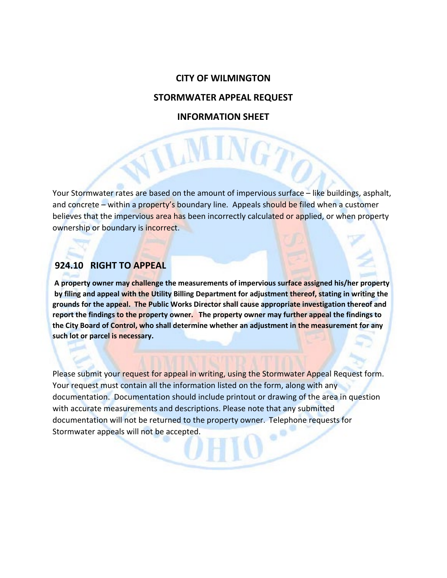#### **CITY OF WILMINGTON**

#### **STORMWATER APPEAL REQUEST**

## **INFORMATION SHEET**

VIL

Your Stormwater rates are based on the amount of impervious surface – like buildings, asphalt, and concrete – within a property's boundary line. Appeals should be filed when a customer believes that the impervious area has been incorrectly calculated or applied, or when property ownership or boundary is incorrect.

### **924.10 RIGHT TO APPEAL**

**A property owner may challenge the measurements of impervious surface assigned his/her property by filing and appeal with the Utility Billing Department for adjustment thereof, stating in writing the grounds for the appeal. The Public Works Director shall cause appropriate investigation thereof and report the findings to the property owner. The property owner may further appeal the findings to the City Board of Control, who shall determine whether an adjustment in the measurement for any such lot or parcel is necessary.**

Please submit your request for appeal in writing, using the Stormwater Appeal Request form. Your request must contain all the information listed on the form, along with any documentation. Documentation should include printout or drawing of the area in question with accurate measurements and descriptions. Please note that any submitted documentation will not be returned to the property owner. Telephone requests for Stormwater appeals will not be accepted. ٠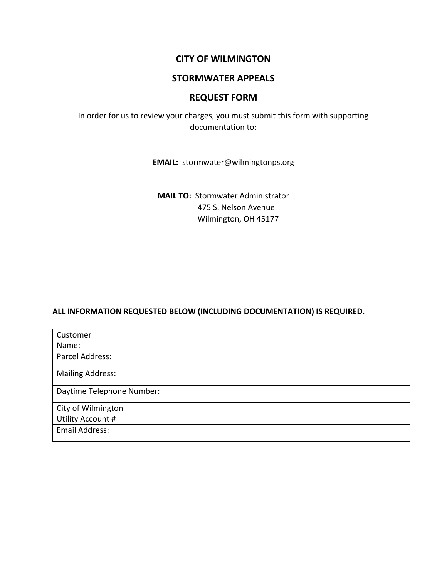### **CITY OF WILMINGTON**

### **STORMWATER APPEALS**

## **REQUEST FORM**

In order for us to review your charges, you must submit this form with supporting documentation to:

**EMAIL:** stormwater@wilmingtonps.org

**MAIL TO:** Stormwater Administrator 475 S. Nelson Avenue Wilmington, OH 45177

#### **ALL INFORMATION REQUESTED BELOW (INCLUDING DOCUMENTATION) IS REQUIRED.**

| Customer                  |  |  |  |  |  |
|---------------------------|--|--|--|--|--|
| Name:                     |  |  |  |  |  |
| Parcel Address:           |  |  |  |  |  |
| <b>Mailing Address:</b>   |  |  |  |  |  |
| Daytime Telephone Number: |  |  |  |  |  |
| City of Wilmington        |  |  |  |  |  |
| Utility Account #         |  |  |  |  |  |
| Email Address:            |  |  |  |  |  |